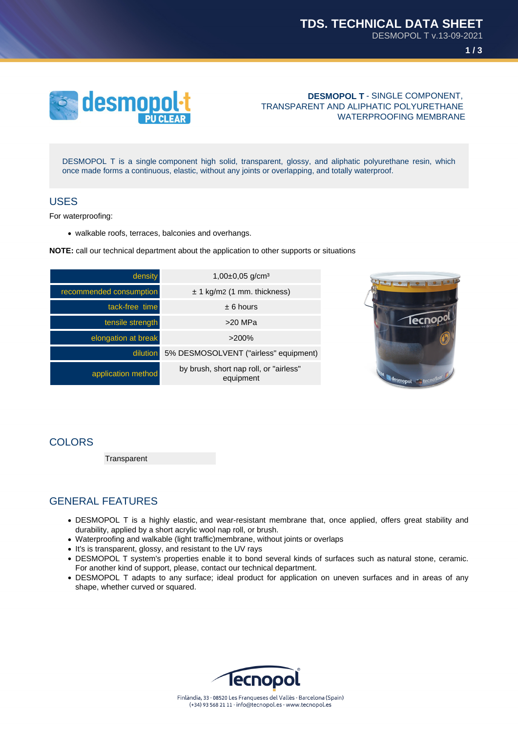



**DESMOPOL T** - SINGLE COMPONENT, TRANSPARENT AND ALIPHATIC POLYURETHANE WATERPROOFING MEMBRANE

DESMOPOL T is a single component high solid, transparent, glossy, and aliphatic polyurethane resin, which once made forms a continuous, elastic, without any joints or overlapping, and totally waterproof.

### USES

For waterproofing:

walkable roofs, terraces, balconies and overhangs.

**NOTE:** call our technical department about the application to other supports or situations

| density                 | $1,00\pm0,05$ g/cm <sup>3</sup>                     |
|-------------------------|-----------------------------------------------------|
| recommended consumption | $\pm$ 1 kg/m2 (1 mm. thickness)                     |
| tack-free time          | $± 6$ hours                                         |
| tensile strength        | $>20$ MPa                                           |
| elongation at break     | >200%                                               |
| dilution                | 5% DESMOSOLVENT ("airless" equipment)               |
| application method      | by brush, short nap roll, or "airless"<br>equipment |



### COLORS

**Transparent** 

# GENERAL FEATURES

- DESMOPOL T is a highly elastic, and wear-resistant membrane that, once applied, offers great stability and durability, applied by a short acrylic wool nap roll, or brush.
- Waterproofing and walkable (light traffic)membrane, without joints or overlaps
- It's is transparent, glossy, and resistant to the UV rays
- DESMOPOL T system's properties enable it to bond several kinds of surfaces such as natural stone, ceramic. For another kind of support, please, contact our technical department.
- DESMOPOL T adapts to any surface; ideal product for application on uneven surfaces and in areas of any shape, whether curved or squared.

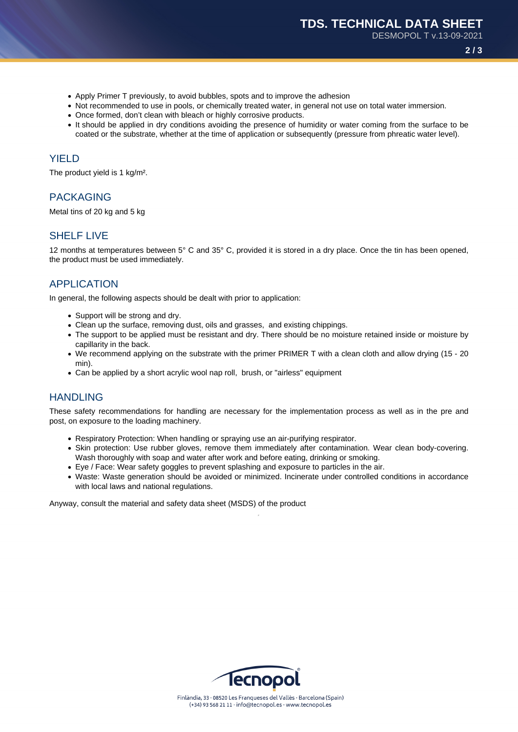DESMOPOL T v.13-09-2021

**2 / 3**

- Apply Primer T previously, to avoid bubbles, spots and to improve the adhesion
- Not recommended to use in pools, or chemically treated water, in general not use on total water immersion.
- Once formed, don't clean with bleach or highly corrosive products.
- It should be applied in dry conditions avoiding the presence of humidity or water coming from the surface to be coated or the substrate, whether at the time of application or subsequently (pressure from phreatic water level).

### **YIFLD**

The product yield is 1 kg/m².

# PACKAGING

Metal tins of 20 kg and 5 kg

### SHELF LIVE

12 months at temperatures between 5° C and 35° C, provided it is stored in a dry place. Once the tin has been opened, the product must be used immediately.

### APPLICATION

In general, the following aspects should be dealt with prior to application:

- Support will be strong and dry.
- Clean up the surface, removing dust, oils and grasses, and existing chippings.
- The support to be applied must be resistant and dry. There should be no moisture retained inside or moisture by capillarity in the back.
- We recommend applying on the substrate with the primer PRIMER T with a clean cloth and allow drying (15 20 min).
- Can be applied by a short acrylic wool nap roll, brush, or "airless" equipment

### **HANDLING**

These safety recommendations for handling are necessary for the implementation process as well as in the pre and post, on exposure to the loading machinery.

- Respiratory Protection: When handling or spraying use an air-purifying respirator.
- Skin protection: Use rubber gloves, remove them immediately after contamination. Wear clean body-covering. Wash thoroughly with soap and water after work and before eating, drinking or smoking.
- Eye / Face: Wear safety goggles to prevent splashing and exposure to particles in the air.
- Waste: Waste generation should be avoided or minimized. Incinerate under controlled conditions in accordance with local laws and national regulations.

Anyway, consult the material and safety data sheet (MSDS) of the product